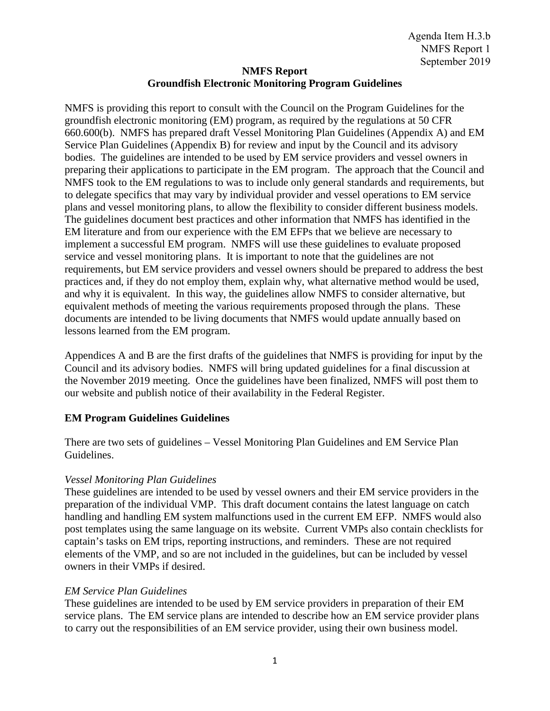## **NMFS Report Groundfish Electronic Monitoring Program Guidelines**

NMFS is providing this report to consult with the Council on the Program Guidelines for the groundfish electronic monitoring (EM) program, as required by the regulations at 50 CFR 660.600(b). NMFS has prepared draft Vessel Monitoring Plan Guidelines (Appendix A) and EM Service Plan Guidelines (Appendix B) for review and input by the Council and its advisory bodies. The guidelines are intended to be used by EM service providers and vessel owners in preparing their applications to participate in the EM program. The approach that the Council and NMFS took to the EM regulations to was to include only general standards and requirements, but to delegate specifics that may vary by individual provider and vessel operations to EM service plans and vessel monitoring plans, to allow the flexibility to consider different business models. The guidelines document best practices and other information that NMFS has identified in the EM literature and from our experience with the EM EFPs that we believe are necessary to implement a successful EM program. NMFS will use these guidelines to evaluate proposed service and vessel monitoring plans. It is important to note that the guidelines are not requirements, but EM service providers and vessel owners should be prepared to address the best practices and, if they do not employ them, explain why, what alternative method would be used, and why it is equivalent. In this way, the guidelines allow NMFS to consider alternative, but equivalent methods of meeting the various requirements proposed through the plans. These documents are intended to be living documents that NMFS would update annually based on lessons learned from the EM program.

Appendices A and B are the first drafts of the guidelines that NMFS is providing for input by the Council and its advisory bodies. NMFS will bring updated guidelines for a final discussion at the November 2019 meeting. Once the guidelines have been finalized, NMFS will post them to our website and publish notice of their availability in the Federal Register.

## **EM Program Guidelines Guidelines**

There are two sets of guidelines – Vessel Monitoring Plan Guidelines and EM Service Plan Guidelines.

## *Vessel Monitoring Plan Guidelines*

These guidelines are intended to be used by vessel owners and their EM service providers in the preparation of the individual VMP. This draft document contains the latest language on catch handling and handling EM system malfunctions used in the current EM EFP. NMFS would also post templates using the same language on its website. Current VMPs also contain checklists for captain's tasks on EM trips, reporting instructions, and reminders. These are not required elements of the VMP, and so are not included in the guidelines, but can be included by vessel owners in their VMPs if desired.

## *EM Service Plan Guidelines*

These guidelines are intended to be used by EM service providers in preparation of their EM service plans. The EM service plans are intended to describe how an EM service provider plans to carry out the responsibilities of an EM service provider, using their own business model.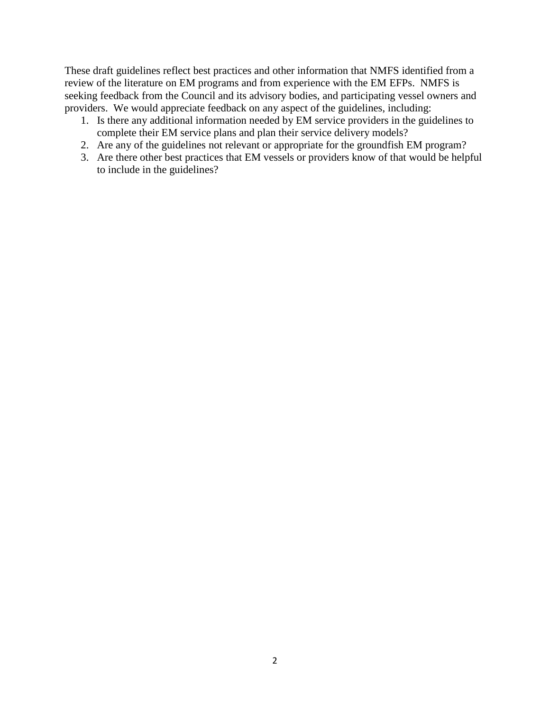These draft guidelines reflect best practices and other information that NMFS identified from a review of the literature on EM programs and from experience with the EM EFPs. NMFS is seeking feedback from the Council and its advisory bodies, and participating vessel owners and providers. We would appreciate feedback on any aspect of the guidelines, including:

- 1. Is there any additional information needed by EM service providers in the guidelines to complete their EM service plans and plan their service delivery models?
- 2. Are any of the guidelines not relevant or appropriate for the groundfish EM program?
- 3. Are there other best practices that EM vessels or providers know of that would be helpful to include in the guidelines?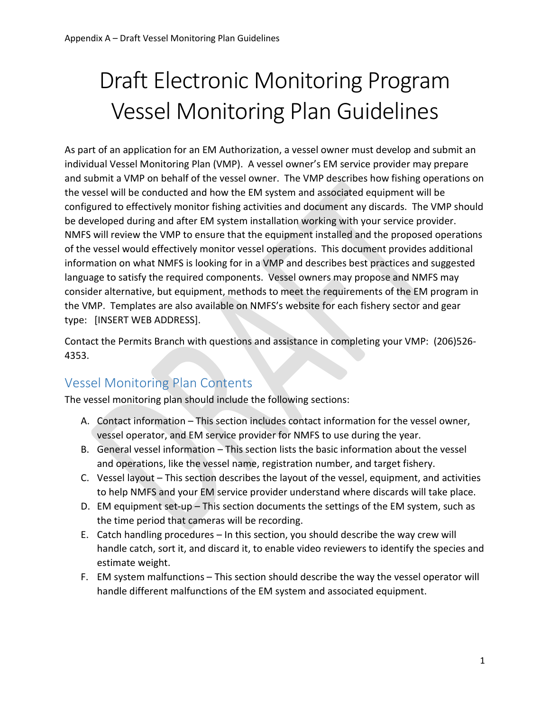# Draft Electronic Monitoring Program Vessel Monitoring Plan Guidelines

As part of an application for an EM Authorization, a vessel owner must develop and submit an individual Vessel Monitoring Plan (VMP). A vessel owner's EM service provider may prepare and submit a VMP on behalf of the vessel owner. The VMP describes how fishing operations on the vessel will be conducted and how the EM system and associated equipment will be configured to effectively monitor fishing activities and document any discards. The VMP should be developed during and after EM system installation working with your service provider. NMFS will review the VMP to ensure that the equipment installed and the proposed operations of the vessel would effectively monitor vessel operations. This document provides additional information on what NMFS is looking for in a VMP and describes best practices and suggested language to satisfy the required components. Vessel owners may propose and NMFS may consider alternative, but equipment, methods to meet the requirements of the EM program in the VMP. Templates are also available on NMFS's website for each fishery sector and gear type: [INSERT WEB ADDRESS].

Contact the Permits Branch with questions and assistance in completing your VMP: (206)526- 4353.

## Vessel Monitoring Plan Contents

The vessel monitoring plan should include the following sections:

- A. Contact information This section includes contact information for the vessel owner, vessel operator, and EM service provider for NMFS to use during the year.
- B. General vessel information This section lists the basic information about the vessel and operations, like the vessel name, registration number, and target fishery.
- C. Vessel layout This section describes the layout of the vessel, equipment, and activities to help NMFS and your EM service provider understand where discards will take place.
- D. EM equipment set-up This section documents the settings of the EM system, such as the time period that cameras will be recording.
- E. Catch handling procedures In this section, you should describe the way crew will handle catch, sort it, and discard it, to enable video reviewers to identify the species and estimate weight.
- F. EM system malfunctions This section should describe the way the vessel operator will handle different malfunctions of the EM system and associated equipment.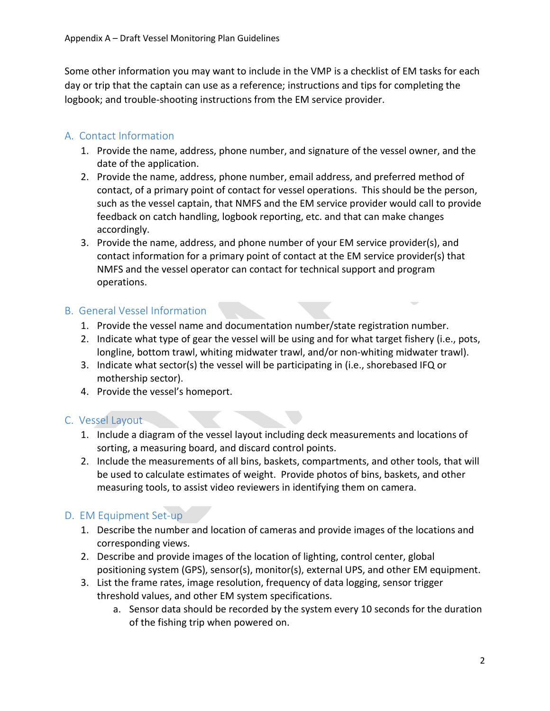Some other information you may want to include in the VMP is a checklist of EM tasks for each day or trip that the captain can use as a reference; instructions and tips for completing the logbook; and trouble-shooting instructions from the EM service provider.

## A. Contact Information

- 1. Provide the name, address, phone number, and signature of the vessel owner, and the date of the application.
- 2. Provide the name, address, phone number, email address, and preferred method of contact, of a primary point of contact for vessel operations. This should be the person, such as the vessel captain, that NMFS and the EM service provider would call to provide feedback on catch handling, logbook reporting, etc. and that can make changes accordingly.
- 3. Provide the name, address, and phone number of your EM service provider(s), and contact information for a primary point of contact at the EM service provider(s) that NMFS and the vessel operator can contact for technical support and program operations.

## B. General Vessel Information

- 1. Provide the vessel name and documentation number/state registration number.
- 2. Indicate what type of gear the vessel will be using and for what target fishery (i.e., pots, longline, bottom trawl, whiting midwater trawl, and/or non-whiting midwater trawl).
- 3. Indicate what sector(s) the vessel will be participating in (i.e., shorebased IFQ or mothership sector).
- 4. Provide the vessel's homeport.

## C. Vessel Layout

- 1. Include a diagram of the vessel layout including deck measurements and locations of sorting, a measuring board, and discard control points.
- 2. Include the measurements of all bins, baskets, compartments, and other tools, that will be used to calculate estimates of weight. Provide photos of bins, baskets, and other measuring tools, to assist video reviewers in identifying them on camera.

## D. EM Equipment Set-up

- 1. Describe the number and location of cameras and provide images of the locations and corresponding views.
- 2. Describe and provide images of the location of lighting, control center, global positioning system (GPS), sensor(s), monitor(s), external UPS, and other EM equipment.
- 3. List the frame rates, image resolution, frequency of data logging, sensor trigger threshold values, and other EM system specifications.
	- a. Sensor data should be recorded by the system every 10 seconds for the duration of the fishing trip when powered on.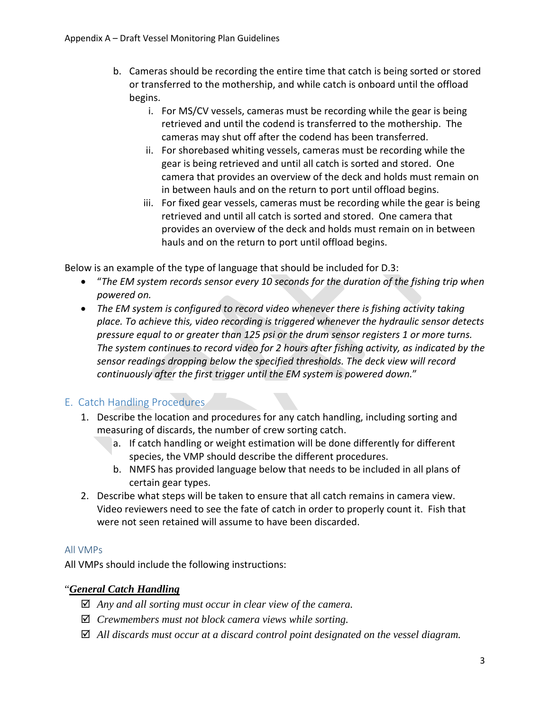- b. Cameras should be recording the entire time that catch is being sorted or stored or transferred to the mothership, and while catch is onboard until the offload begins.
	- i. For MS/CV vessels, cameras must be recording while the gear is being retrieved and until the codend is transferred to the mothership. The cameras may shut off after the codend has been transferred.
	- ii. For shorebased whiting vessels, cameras must be recording while the gear is being retrieved and until all catch is sorted and stored. One camera that provides an overview of the deck and holds must remain on in between hauls and on the return to port until offload begins.
	- iii. For fixed gear vessels, cameras must be recording while the gear is being retrieved and until all catch is sorted and stored. One camera that provides an overview of the deck and holds must remain on in between hauls and on the return to port until offload begins.

Below is an example of the type of language that should be included for D.3:

- "*The EM system records sensor every 10 seconds for the duration of the fishing trip when powered on.*
- *The EM system is configured to record video whenever there is fishing activity taking place. To achieve this, video recording is triggered whenever the hydraulic sensor detects pressure equal to or greater than 125 psi or the drum sensor registers 1 or more turns. The system continues to record video for 2 hours after fishing activity, as indicated by the sensor readings dropping below the specified thresholds. The deck view will record continuously after the first trigger until the EM system is powered down.*"

## E. Catch Handling Procedures

- 1. Describe the location and procedures for any catch handling, including sorting and measuring of discards, the number of crew sorting catch.
	- a. If catch handling or weight estimation will be done differently for different species, the VMP should describe the different procedures.
	- b. NMFS has provided language below that needs to be included in all plans of certain gear types.
- 2. Describe what steps will be taken to ensure that all catch remains in camera view. Video reviewers need to see the fate of catch in order to properly count it. Fish that were not seen retained will assume to have been discarded.

## All VMPs

All VMPs should include the following instructions:

## "*General Catch Handling*

- *Any and all sorting must occur in clear view of the camera.*
- *Crewmembers must not block camera views while sorting.*
- *All discards must occur at a discard control point designated on the vessel diagram.*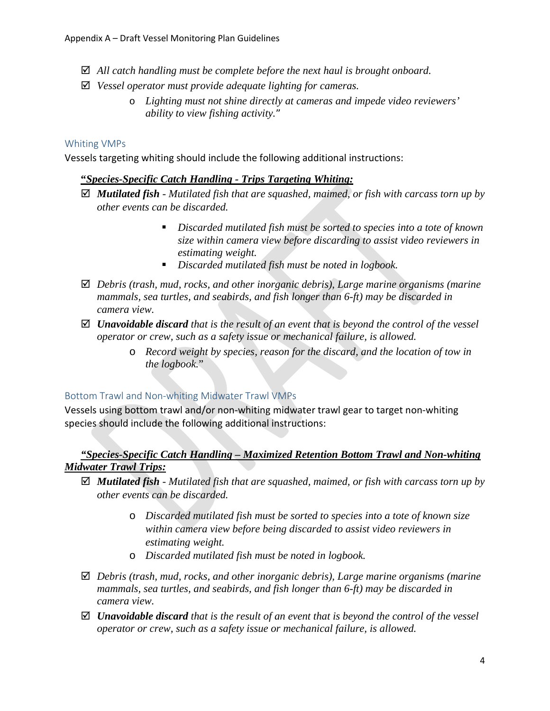- *All catch handling must be complete before the next haul is brought onboard.*
- *Vessel operator must provide adequate lighting for cameras.*
	- o *Lighting must not shine directly at cameras and impede video reviewers' ability to view fishing activity.*"

#### Whiting VMPs

Vessels targeting whiting should include the following additional instructions:

#### **"***Species-Specific Catch Handling - Trips Targeting Whiting:*

- *Mutilated fish - Mutilated fish that are squashed, maimed, or fish with carcass torn up by other events can be discarded.*
	- *Discarded mutilated fish must be sorted to species into a tote of known size within camera view before discarding to assist video reviewers in estimating weight.*
	- *Discarded mutilated fish must be noted in logbook.*
- *Debris (trash, mud, rocks, and other inorganic debris), Large marine organisms (marine mammals, sea turtles, and seabirds, and fish longer than 6-ft) may be discarded in camera view.*
- *Unavoidable discard that is the result of an event that is beyond the control of the vessel operator or crew, such as a safety issue or mechanical failure, is allowed.*
	- o *Record weight by species, reason for the discard, and the location of tow in the logbook.*"

#### Bottom Trawl and Non-whiting Midwater Trawl VMPs

Vessels using bottom trawl and/or non-whiting midwater trawl gear to target non-whiting species should include the following additional instructions:

## *"Species-Specific Catch Handling – Maximized Retention Bottom Trawl and Non-whiting Midwater Trawl Trips:*

- *Mutilated fish - Mutilated fish that are squashed, maimed, or fish with carcass torn up by other events can be discarded.*
	- o *Discarded mutilated fish must be sorted to species into a tote of known size within camera view before being discarded to assist video reviewers in estimating weight.*
	- o *Discarded mutilated fish must be noted in logbook.*
- *Debris (trash, mud, rocks, and other inorganic debris), Large marine organisms (marine mammals, sea turtles, and seabirds, and fish longer than 6-ft) may be discarded in camera view.*
- *Unavoidable discard that is the result of an event that is beyond the control of the vessel operator or crew, such as a safety issue or mechanical failure, is allowed.*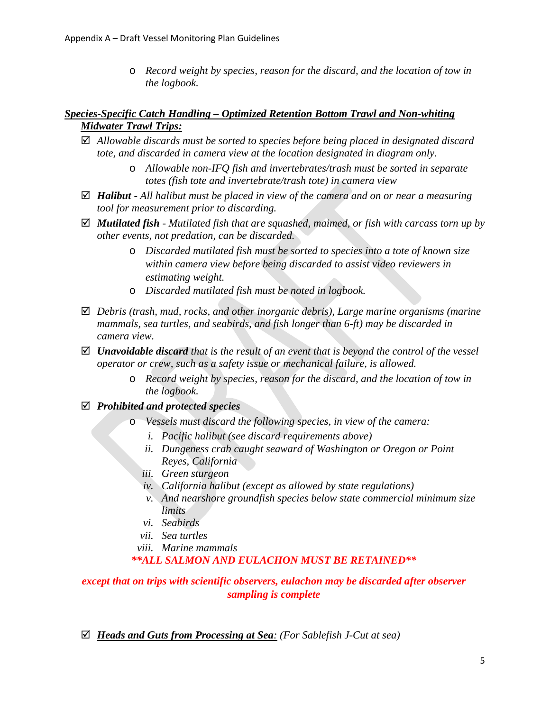o *Record weight by species, reason for the discard, and the location of tow in the logbook.*

## *Species-Specific Catch Handling – Optimized Retention Bottom Trawl and Non-whiting Midwater Trawl Trips:*

- *Allowable discards must be sorted to species before being placed in designated discard tote, and discarded in camera view at the location designated in diagram only.*
	- o *Allowable non-IFQ fish and invertebrates/trash must be sorted in separate totes (fish tote and invertebrate/trash tote) in camera view*
- *Halibut - All halibut must be placed in view of the camera and on or near a measuring tool for measurement prior to discarding.*
- *Mutilated fish - Mutilated fish that are squashed, maimed, or fish with carcass torn up by other events, not predation, can be discarded.*
	- o *Discarded mutilated fish must be sorted to species into a tote of known size within camera view before being discarded to assist video reviewers in estimating weight.*
	- o *Discarded mutilated fish must be noted in logbook.*
- *Debris (trash, mud, rocks, and other inorganic debris), Large marine organisms (marine mammals, sea turtles, and seabirds, and fish longer than 6-ft) may be discarded in camera view.*
- *Unavoidable discard that is the result of an event that is beyond the control of the vessel operator or crew, such as a safety issue or mechanical failure, is allowed.*
	- o *Record weight by species, reason for the discard, and the location of tow in the logbook.*
- *Prohibited and protected species*
	- o *Vessels must discard the following species, in view of the camera:*
		- *i. Pacific halibut (see discard requirements above)*
		- *ii. Dungeness crab caught seaward of Washington or Oregon or Point Reyes, California*
		- *iii. Green sturgeon*
		- *iv. California halibut (except as allowed by state regulations)*
		- *v. And nearshore groundfish species below state commercial minimum size limits*
		- *vi. Seabirds*
		- *vii. Sea turtles*
		- *viii. Marine mammals*

## *\*\*ALL SALMON AND EULACHON MUST BE RETAINED\*\**

## *except that on trips with scientific observers, eulachon may be discarded after observer sampling is complete*

*Heads and Guts from Processing at Sea: (For Sablefish J-Cut at sea)*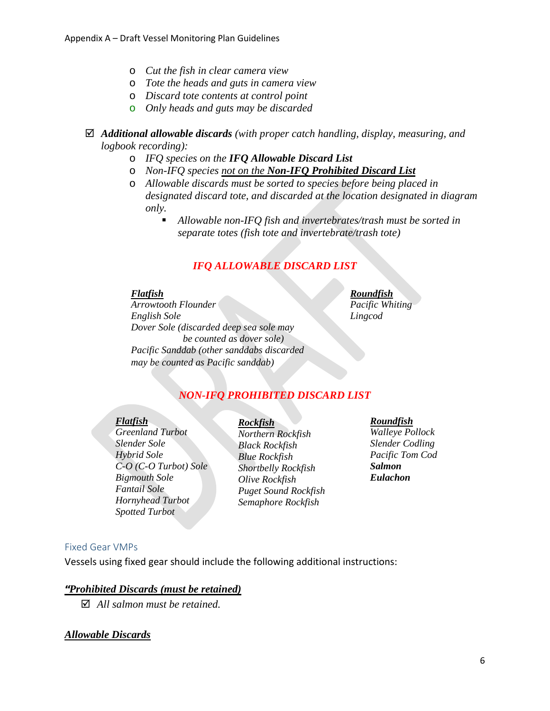- o *Cut the fish in clear camera view*
- o *Tote the heads and guts in camera view*
- o *Discard tote contents at control point*
- o *Only heads and guts may be discarded*
- *Additional allowable discards (with proper catch handling, display, measuring, and logbook recording):*
	- o *IFQ species on the IFQ Allowable Discard List*
	- o *Non-IFQ species not on the Non-IFQ Prohibited Discard List*
	- o *Allowable discards must be sorted to species before being placed in designated discard tote, and discarded at the location designated in diagram only.*
		- *Allowable non-IFQ fish and invertebrates/trash must be sorted in separate totes (fish tote and invertebrate/trash tote)*

## *IFQ ALLOWABLE DISCARD LIST*

#### *Flatfish*

*Arrowtooth Flounder English Sole Dover Sole (discarded deep sea sole may be counted as dover sole) Pacific Sanddab (other sanddabs discarded may be counted as Pacific sanddab)*

#### *Roundfish*

*Pacific Whiting Lingcod*

## *NON-IFQ PROHIBITED DISCARD LIST*

#### *Flatfish*

*Greenland Turbot Slender Sole Hybrid Sole C-O (C-O Turbot) Sole Bigmouth Sole Fantail Sole Hornyhead Turbot Spotted Turbot*

## *Rockfish*

*Northern Rockfish Black Rockfish Blue Rockfish Shortbelly Rockfish Olive Rockfish Puget Sound Rockfish Semaphore Rockfish*

#### *Roundfish Walleye Pollock Slender Codling Pacific Tom Cod Salmon*

*Eulachon*

#### Fixed Gear VMPs

Vessels using fixed gear should include the following additional instructions:

#### **"***Prohibited Discards (must be retained)*

*All salmon must be retained.*

#### *Allowable Discards*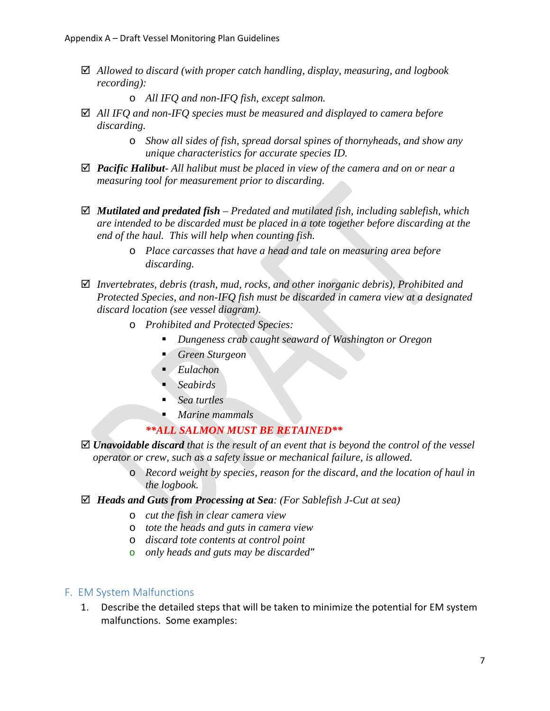- *Allowed to discard (with proper catch handling, display, measuring, and logbook recording):*
	- o *All IFQ and non-IFQ fish, except salmon.*
- *All IFQ and non-IFQ species must be measured and displayed to camera before discarding.*
	- o *Show all sides of fish, spread dorsal spines of thornyheads, and show any unique characteristics for accurate species ID.*
- *Pacific Halibut- All halibut must be placed in view of the camera and on or near a measuring tool for measurement prior to discarding.*
- *Mutilated and predated fish – Predated and mutilated fish, including sablefish, which are intended to be discarded must be placed in a tote together before discarding at the end of the haul. This will help when counting fish.*
	- o *Place carcasses that have a head and tale on measuring area before discarding.*
- *Invertebrates, debris (trash, mud, rocks, and other inorganic debris), Prohibited and Protected Species, and non-IFQ fish must be discarded in camera view at a designated discard location (see vessel diagram).*
	- o *Prohibited and Protected Species:*
		- *Dungeness crab caught seaward of Washington or Oregon*
		- *Green Sturgeon*
		- *Eulachon*
		- *Seabirds*
		- *Sea turtles*
		- *Marine mammals*

## *\*\*ALL SALMON MUST BE RETAINED\*\**

- *Unavoidable discard that is the result of an event that is beyond the control of the vessel operator or crew, such as a safety issue or mechanical failure, is allowed.* 
	- o *Record weight by species, reason for the discard, and the location of haul in the logbook.*
- *Heads and Guts from Processing at Sea: (For Sablefish J-Cut at sea)* 
	- o *cut the fish in clear camera view*
	- o *tote the heads and guts in camera view*
	- o *discard tote contents at control point*
	- o *only heads and guts may be discarded*"

#### F. EM System Malfunctions

1. Describe the detailed steps that will be taken to minimize the potential for EM system malfunctions. Some examples: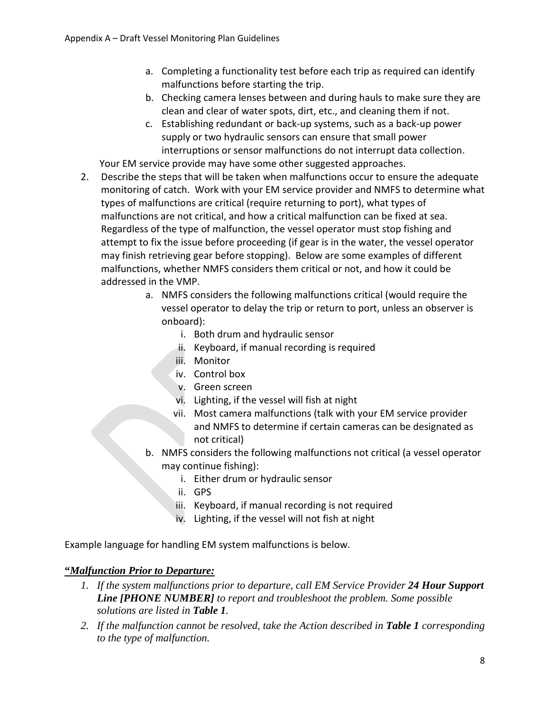- a. Completing a functionality test before each trip as required can identify malfunctions before starting the trip.
- b. Checking camera lenses between and during hauls to make sure they are clean and clear of water spots, dirt, etc., and cleaning them if not.
- c. Establishing redundant or back-up systems, such as a back-up power supply or two hydraulic sensors can ensure that small power interruptions or sensor malfunctions do not interrupt data collection.

Your EM service provide may have some other suggested approaches.

- 2. Describe the steps that will be taken when malfunctions occur to ensure the adequate monitoring of catch. Work with your EM service provider and NMFS to determine what types of malfunctions are critical (require returning to port), what types of malfunctions are not critical, and how a critical malfunction can be fixed at sea. Regardless of the type of malfunction, the vessel operator must stop fishing and attempt to fix the issue before proceeding (if gear is in the water, the vessel operator may finish retrieving gear before stopping). Below are some examples of different malfunctions, whether NMFS considers them critical or not, and how it could be addressed in the VMP.
	- a. NMFS considers the following malfunctions critical (would require the vessel operator to delay the trip or return to port, unless an observer is onboard):
		- i. Both drum and hydraulic sensor
		- ii. Keyboard, if manual recording is required
		- iii. Monitor
		- iv. Control box
		- v. Green screen
		- vi. Lighting, if the vessel will fish at night
		- vii. Most camera malfunctions (talk with your EM service provider and NMFS to determine if certain cameras can be designated as not critical)
	- b. NMFS considers the following malfunctions not critical (a vessel operator may continue fishing):
		- i. Either drum or hydraulic sensor
		- ii. GPS
		- iii. Keyboard, if manual recording is not required
		- iv. Lighting, if the vessel will not fish at night

Example language for handling EM system malfunctions is below.

## **"***Malfunction Prior to Departure:*

- *1. If the system malfunctions prior to departure, call EM Service Provider 24 Hour Support Line [PHONE NUMBER] to report and troubleshoot the problem. Some possible solutions are listed in Table 1.*
- *2. If the malfunction cannot be resolved, take the Action described in Table 1 corresponding to the type of malfunction.*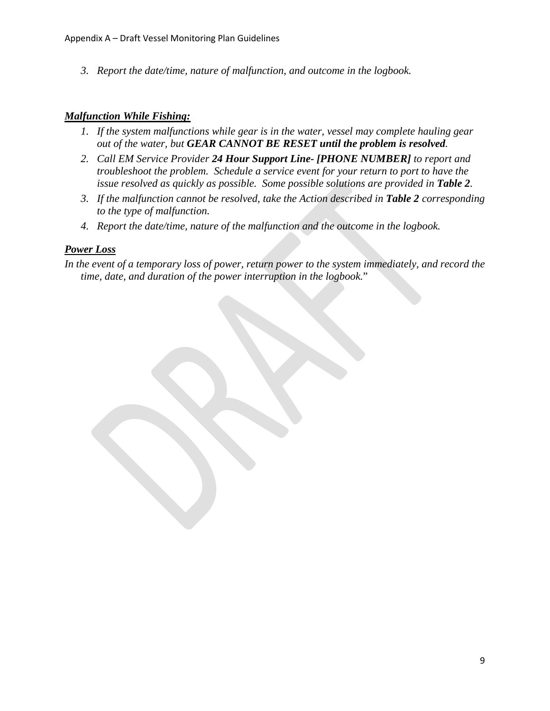*3. Report the date/time, nature of malfunction, and outcome in the logbook.*

#### *Malfunction While Fishing:*

- *1. If the system malfunctions while gear is in the water, vessel may complete hauling gear out of the water, but GEAR CANNOT BE RESET until the problem is resolved.*
- *2. Call EM Service Provider 24 Hour Support Line- [PHONE NUMBER] to report and troubleshoot the problem. Schedule a service event for your return to port to have the issue resolved as quickly as possible. Some possible solutions are provided in Table 2.*
- *3. If the malfunction cannot be resolved, take the Action described in Table 2 corresponding to the type of malfunction.*
- *4. Report the date/time, nature of the malfunction and the outcome in the logbook.*

## *Power Loss*

*In the event of a temporary loss of power, return power to the system immediately, and record the time, date, and duration of the power interruption in the logbook.*"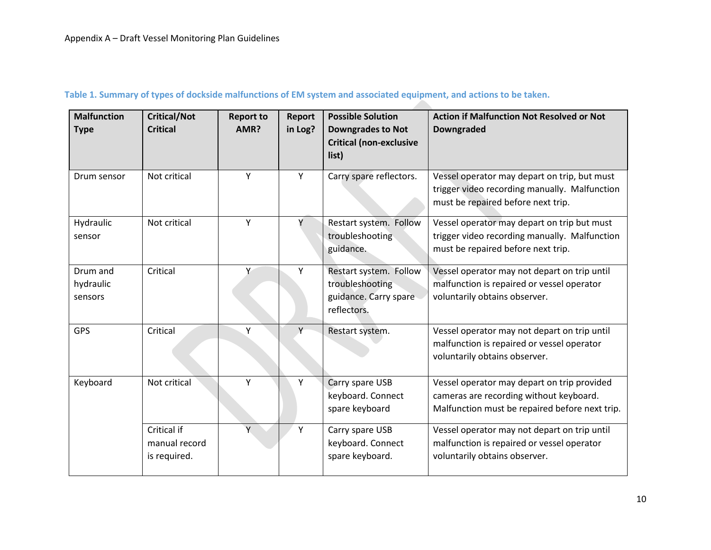| <b>Malfunction</b><br><b>Type</b> | <b>Critical/Not</b><br><b>Critical</b>       | <b>Report to</b><br>AMR? | <b>Report</b><br>in Log? | <b>Possible Solution</b><br><b>Downgrades to Not</b><br><b>Critical (non-exclusive</b><br>list) | <b>Action if Malfunction Not Resolved or Not</b><br><b>Downgraded</b>                                                                    |
|-----------------------------------|----------------------------------------------|--------------------------|--------------------------|-------------------------------------------------------------------------------------------------|------------------------------------------------------------------------------------------------------------------------------------------|
| Drum sensor                       | Not critical                                 | Y                        | Y                        | Carry spare reflectors.                                                                         | Vessel operator may depart on trip, but must<br>trigger video recording manually. Malfunction<br>must be repaired before next trip.      |
| Hydraulic<br>sensor               | Not critical                                 | Y                        |                          | Restart system. Follow<br>troubleshooting<br>guidance.                                          | Vessel operator may depart on trip but must<br>trigger video recording manually. Malfunction<br>must be repaired before next trip.       |
| Drum and<br>hydraulic<br>sensors  | Critical                                     | Υ                        | Υ                        | Restart system. Follow<br>troubleshooting<br>guidance. Carry spare<br>reflectors.               | Vessel operator may not depart on trip until<br>malfunction is repaired or vessel operator<br>voluntarily obtains observer.              |
| <b>GPS</b>                        | Critical                                     | Υ                        |                          | Restart system.                                                                                 | Vessel operator may not depart on trip until<br>malfunction is repaired or vessel operator<br>voluntarily obtains observer.              |
| Keyboard                          | Not critical                                 | Y                        | Υ                        | Carry spare USB<br>keyboard. Connect<br>spare keyboard                                          | Vessel operator may depart on trip provided<br>cameras are recording without keyboard.<br>Malfunction must be repaired before next trip. |
|                                   | Critical if<br>manual record<br>is required. | Ÿ                        | Y                        | Carry spare USB<br>keyboard. Connect<br>spare keyboard.                                         | Vessel operator may not depart on trip until<br>malfunction is repaired or vessel operator<br>voluntarily obtains observer.              |

## **Table 1. Summary of types of dockside malfunctions of EM system and associated equipment, and actions to be taken.**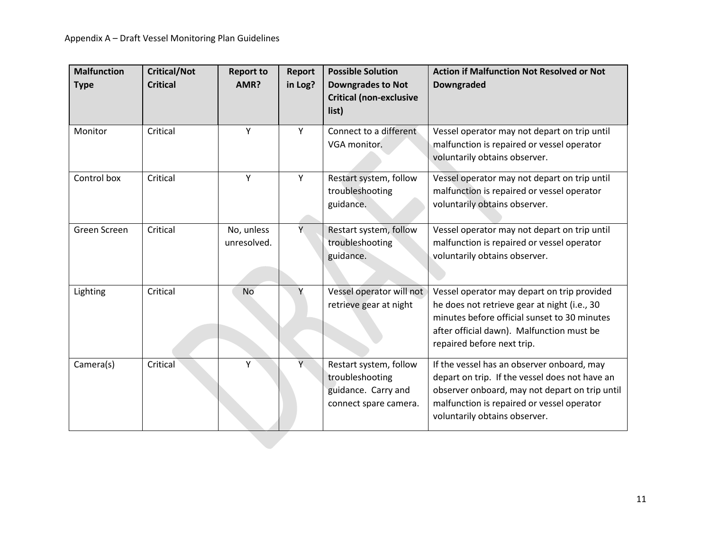| <b>Malfunction</b> | <b>Critical/Not</b> | <b>Report to</b>          | <b>Report</b> | <b>Possible Solution</b>                                                                  | <b>Action if Malfunction Not Resolved or Not</b>                                                                                                                                                                              |
|--------------------|---------------------|---------------------------|---------------|-------------------------------------------------------------------------------------------|-------------------------------------------------------------------------------------------------------------------------------------------------------------------------------------------------------------------------------|
| <b>Type</b>        | <b>Critical</b>     | AMR?                      | in Log?       | <b>Downgrades to Not</b><br><b>Critical (non-exclusive</b><br>list)                       | <b>Downgraded</b>                                                                                                                                                                                                             |
| Monitor            | Critical            | Υ                         | Y             | Connect to a different<br>VGA monitor.                                                    | Vessel operator may not depart on trip until<br>malfunction is repaired or vessel operator<br>voluntarily obtains observer.                                                                                                   |
| Control box        | Critical            | Υ                         | Y             | Restart system, follow<br>troubleshooting<br>guidance.                                    | Vessel operator may not depart on trip until<br>malfunction is repaired or vessel operator<br>voluntarily obtains observer.                                                                                                   |
| Green Screen       | Critical            | No, unless<br>unresolved. | Y.            | Restart system, follow<br>troubleshooting<br>guidance.                                    | Vessel operator may not depart on trip until<br>malfunction is repaired or vessel operator<br>voluntarily obtains observer.                                                                                                   |
| Lighting           | Critical            | <b>No</b>                 | Υ             | Vessel operator will not<br>retrieve gear at night                                        | Vessel operator may depart on trip provided<br>he does not retrieve gear at night (i.e., 30<br>minutes before official sunset to 30 minutes<br>after official dawn). Malfunction must be<br>repaired before next trip.        |
| Camera(s)          | Critical            | Υ                         | Y.            | Restart system, follow<br>troubleshooting<br>guidance. Carry and<br>connect spare camera. | If the vessel has an observer onboard, may<br>depart on trip. If the vessel does not have an<br>observer onboard, may not depart on trip until<br>malfunction is repaired or vessel operator<br>voluntarily obtains observer. |
|                    |                     |                           |               |                                                                                           |                                                                                                                                                                                                                               |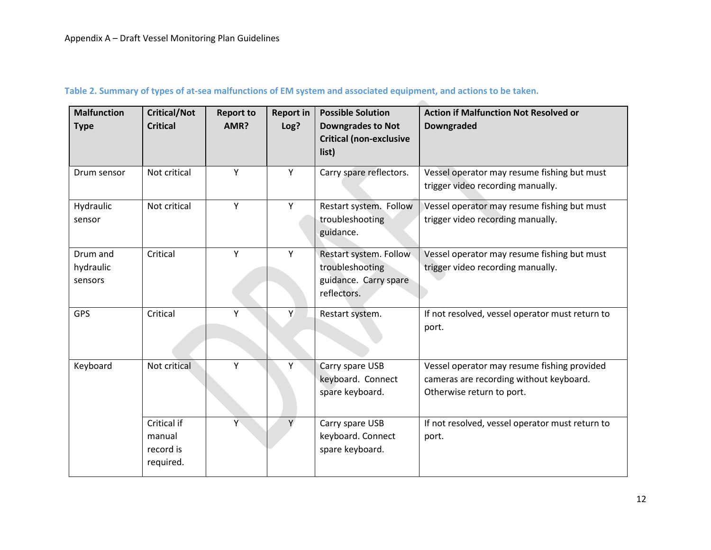#### **Table 2. Summary of types of at-sea malfunctions of EM system and associated equipment, and actions to be taken.**

| <b>Malfunction</b> | <b>Critical/Not</b> | <b>Report to</b> | <b>Report in</b> | <b>Possible Solution</b>       | <b>Action if Malfunction Not Resolved or</b>    |
|--------------------|---------------------|------------------|------------------|--------------------------------|-------------------------------------------------|
| <b>Type</b>        | <b>Critical</b>     | AMR?             | Log?             | <b>Downgrades to Not</b>       | <b>Downgraded</b>                               |
|                    |                     |                  |                  | <b>Critical (non-exclusive</b> |                                                 |
|                    |                     |                  |                  | list)                          |                                                 |
|                    |                     |                  |                  |                                |                                                 |
| Drum sensor        | Not critical        | Y                | Y                | Carry spare reflectors.        | Vessel operator may resume fishing but must     |
|                    |                     |                  |                  |                                | trigger video recording manually.               |
| Hydraulic          | Not critical        | Y                | Y                | Restart system. Follow         | Vessel operator may resume fishing but must     |
| sensor             |                     |                  |                  | troubleshooting                | trigger video recording manually.               |
|                    |                     |                  |                  | guidance.                      |                                                 |
|                    |                     |                  |                  |                                |                                                 |
| Drum and           | Critical            | Y                | Y                | Restart system. Follow         | Vessel operator may resume fishing but must     |
| hydraulic          |                     |                  |                  | troubleshooting                | trigger video recording manually.               |
| sensors            |                     |                  |                  | guidance. Carry spare          |                                                 |
|                    |                     |                  |                  | reflectors.                    |                                                 |
| <b>GPS</b>         | Critical            | Y                | Y                | Restart system.                | If not resolved, vessel operator must return to |
|                    |                     |                  |                  |                                | port.                                           |
|                    |                     |                  |                  |                                |                                                 |
|                    |                     |                  |                  |                                |                                                 |
| Keyboard           | Not critical        | Y                | Y                | Carry spare USB                | Vessel operator may resume fishing provided     |
|                    |                     |                  |                  | keyboard. Connect              | cameras are recording without keyboard.         |
|                    |                     |                  |                  | spare keyboard.                | Otherwise return to port.                       |
|                    |                     |                  |                  |                                |                                                 |
|                    | Critical if         | Y                |                  | Carry spare USB                | If not resolved, vessel operator must return to |
|                    | manual              |                  |                  | keyboard. Connect              | port.                                           |
|                    | record is           |                  |                  | spare keyboard.                |                                                 |
|                    | required.           |                  |                  |                                |                                                 |
|                    |                     |                  |                  |                                |                                                 |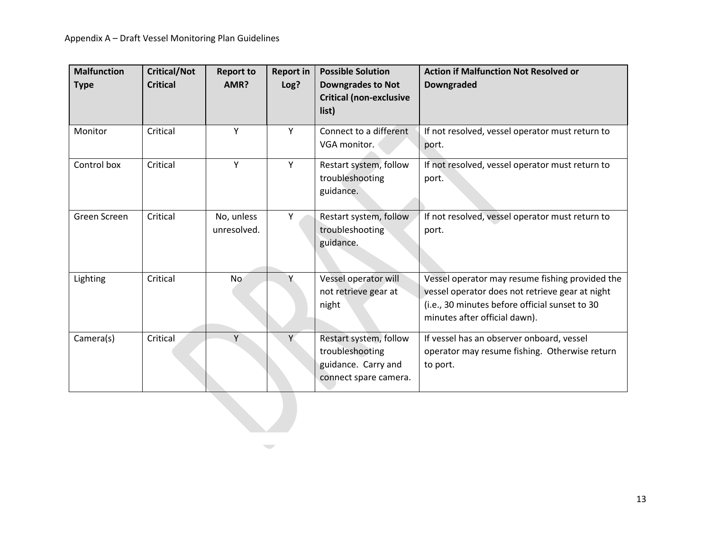| <b>Malfunction</b><br><b>Type</b> | <b>Critical/Not</b><br><b>Critical</b> | <b>Report to</b><br>AMR?  | <b>Report in</b><br>Log? | <b>Possible Solution</b><br><b>Downgrades to Not</b><br><b>Critical (non-exclusive</b><br>list) | <b>Action if Malfunction Not Resolved or</b><br><b>Downgraded</b>                                                                                                                     |
|-----------------------------------|----------------------------------------|---------------------------|--------------------------|-------------------------------------------------------------------------------------------------|---------------------------------------------------------------------------------------------------------------------------------------------------------------------------------------|
|                                   |                                        |                           |                          |                                                                                                 |                                                                                                                                                                                       |
| Monitor                           | Critical                               | Υ                         | Y                        | Connect to a different<br>VGA monitor.                                                          | If not resolved, vessel operator must return to<br>port.                                                                                                                              |
| Control box                       | Critical                               | Y                         | Y                        | Restart system, follow<br>troubleshooting<br>guidance.                                          | If not resolved, vessel operator must return to<br>port.                                                                                                                              |
| Green Screen                      | Critical                               | No, unless<br>unresolved. | Υ                        | Restart system, follow<br>troubleshooting<br>guidance.                                          | If not resolved, vessel operator must return to<br>port.                                                                                                                              |
| Lighting                          | Critical                               | N <sub>o</sub>            | Υ                        | Vessel operator will<br>not retrieve gear at<br>night                                           | Vessel operator may resume fishing provided the<br>vessel operator does not retrieve gear at night<br>(i.e., 30 minutes before official sunset to 30<br>minutes after official dawn). |
| Camera(s)                         | Critical                               | Y                         | Y                        | Restart system, follow<br>troubleshooting<br>guidance. Carry and<br>connect spare camera.       | If vessel has an observer onboard, vessel<br>operator may resume fishing. Otherwise return<br>to port.                                                                                |

 $\overline{\phantom{m}}$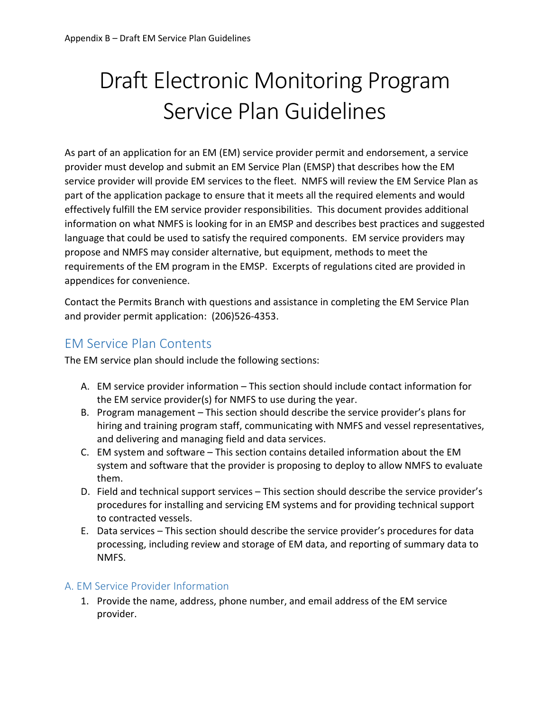# Draft Electronic Monitoring Program Service Plan Guidelines

As part of an application for an EM (EM) service provider permit and endorsement, a service provider must develop and submit an EM Service Plan (EMSP) that describes how the EM service provider will provide EM services to the fleet. NMFS will review the EM Service Plan as part of the application package to ensure that it meets all the required elements and would effectively fulfill the EM service provider responsibilities. This document provides additional information on what NMFS is looking for in an EMSP and describes best practices and suggested language that could be used to satisfy the required components. EM service providers may propose and NMFS may consider alternative, but equipment, methods to meet the requirements of the EM program in the EMSP. Excerpts of regulations cited are provided in appendices for convenience.

Contact the Permits Branch with questions and assistance in completing the EM Service Plan and provider permit application: (206)526-4353.

## EM Service Plan Contents

The EM service plan should include the following sections:

- A. EM service provider information This section should include contact information for the EM service provider(s) for NMFS to use during the year.
- B. Program management This section should describe the service provider's plans for hiring and training program staff, communicating with NMFS and vessel representatives, and delivering and managing field and data services.
- C. EM system and software This section contains detailed information about the EM system and software that the provider is proposing to deploy to allow NMFS to evaluate them.
- D. Field and technical support services This section should describe the service provider's procedures for installing and servicing EM systems and for providing technical support to contracted vessels.
- E. Data services This section should describe the service provider's procedures for data processing, including review and storage of EM data, and reporting of summary data to NMFS.

## A. EM Service Provider Information

1. Provide the name, address, phone number, and email address of the EM service provider.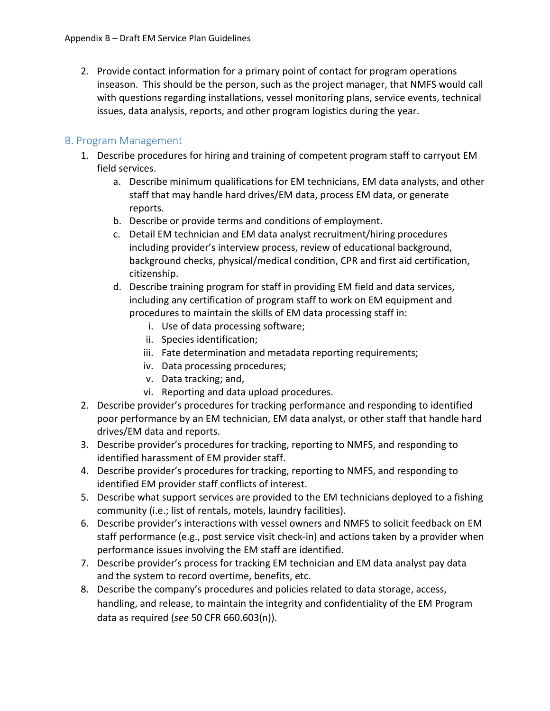2. Provide contact information for a primary point of contact for program operations inseason. This should be the person, such as the project manager, that NMFS would call with questions regarding installations, vessel monitoring plans, service events, technical issues, data analysis, reports, and other program logistics during the year.

## B. Program Management

- 1. Describe procedures for hiring and training of competent program staff to carryout EM field services.
	- a. Describe minimum qualifications for EM technicians, EM data analysts, and other staff that may handle hard drives/EM data, process EM data, or generate reports.
	- b. Describe or provide terms and conditions of employment.
	- c. Detail EM technician and EM data analyst recruitment/hiring procedures including provider's interview process, review of educational background, background checks, physical/medical condition, CPR and first aid certification, citizenship.
	- d. Describe training program for staff in providing EM field and data services, including any certification of program staff to work on EM equipment and procedures to maintain the skills of EM data processing staff in:
		- i. Use of data processing software;
		- ii. Species identification;
		- iii. Fate determination and metadata reporting requirements;
		- iv. Data processing procedures;
		- v. Data tracking; and,
		- vi. Reporting and data upload procedures.
- 2. Describe provider's procedures for tracking performance and responding to identified poor performance by an EM technician, EM data analyst, or other staff that handle hard drives/EM data and reports.
- 3. Describe provider's procedures for tracking, reporting to NMFS, and responding to identified harassment of EM provider staff.
- 4. Describe provider's procedures for tracking, reporting to NMFS, and responding to identified EM provider staff conflicts of interest.
- 5. Describe what support services are provided to the EM technicians deployed to a fishing community (i.e.; list of rentals, motels, laundry facilities).
- 6. Describe provider's interactions with vessel owners and NMFS to solicit feedback on EM staff performance (e.g., post service visit check-in) and actions taken by a provider when performance issues involving the EM staff are identified.
- 7. Describe provider's process for tracking EM technician and EM data analyst pay data and the system to record overtime, benefits, etc.
- 8. Describe the company's procedures and policies related to data storage, access, handling, and release, to maintain the integrity and confidentiality of the EM Program data as required (*see* 50 CFR 660.603(n)).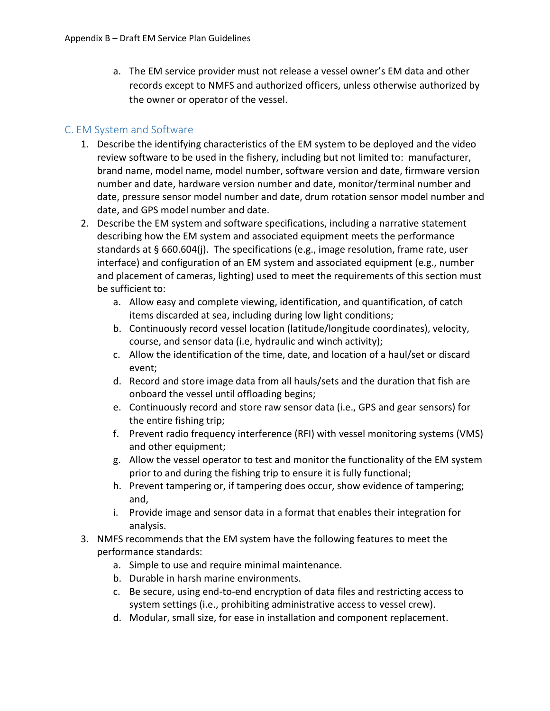a. The EM service provider must not release a vessel owner's EM data and other records except to NMFS and authorized officers, unless otherwise authorized by the owner or operator of the vessel.

## C. EM System and Software

- 1. Describe the identifying characteristics of the EM system to be deployed and the video review software to be used in the fishery, including but not limited to: manufacturer, brand name, model name, model number, software version and date, firmware version number and date, hardware version number and date, monitor/terminal number and date, pressure sensor model number and date, drum rotation sensor model number and date, and GPS model number and date.
- 2. Describe the EM system and software specifications, including a narrative statement describing how the EM system and associated equipment meets the performance standards at § 660.604(j). The specifications (e.g., image resolution, frame rate, user interface) and configuration of an EM system and associated equipment (e.g., number and placement of cameras, lighting) used to meet the requirements of this section must be sufficient to:
	- a. Allow easy and complete viewing, identification, and quantification, of catch items discarded at sea, including during low light conditions;
	- b. Continuously record vessel location (latitude/longitude coordinates), velocity, course, and sensor data (i.e, hydraulic and winch activity);
	- c. Allow the identification of the time, date, and location of a haul/set or discard event;
	- d. Record and store image data from all hauls/sets and the duration that fish are onboard the vessel until offloading begins;
	- e. Continuously record and store raw sensor data (i.e., GPS and gear sensors) for the entire fishing trip;
	- f. Prevent radio frequency interference (RFI) with vessel monitoring systems (VMS) and other equipment;
	- g. Allow the vessel operator to test and monitor the functionality of the EM system prior to and during the fishing trip to ensure it is fully functional;
	- h. Prevent tampering or, if tampering does occur, show evidence of tampering; and,
	- i. Provide image and sensor data in a format that enables their integration for analysis.
- 3. NMFS recommends that the EM system have the following features to meet the performance standards:
	- a. Simple to use and require minimal maintenance.
	- b. Durable in harsh marine environments.
	- c. Be secure, using end-to-end encryption of data files and restricting access to system settings (i.e., prohibiting administrative access to vessel crew).
	- d. Modular, small size, for ease in installation and component replacement.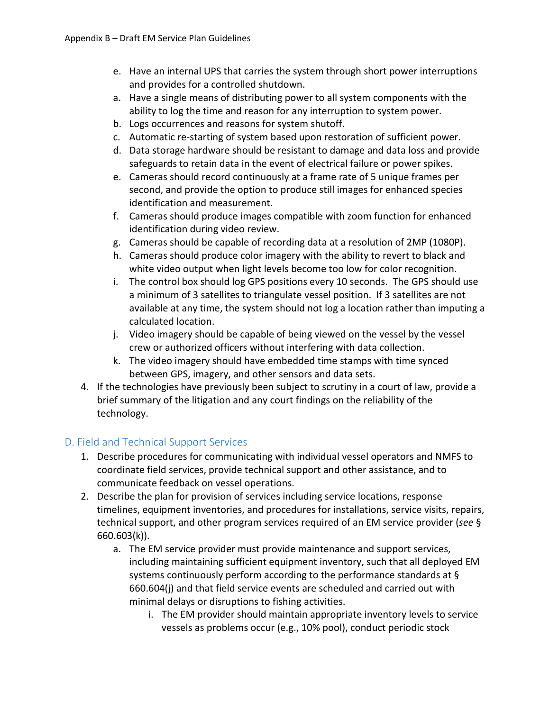- e. Have an internal UPS that carries the system through short power interruptions and provides for a controlled shutdown.
- a. Have a single means of distributing power to all system components with the ability to log the time and reason for any interruption to system power.
- b. Logs occurrences and reasons for system shutoff.
- c. Automatic re-starting of system based upon restoration of sufficient power.
- d. Data storage hardware should be resistant to damage and data loss and provide safeguards to retain data in the event of electrical failure or power spikes.
- e. Cameras should record continuously at a frame rate of 5 unique frames per second, and provide the option to produce still images for enhanced species identification and measurement.
- f. Cameras should produce images compatible with zoom function for enhanced identification during video review.
- g. Cameras should be capable of recording data at a resolution of 2MP (1080P).
- h. Cameras should produce color imagery with the ability to revert to black and white video output when light levels become too low for color recognition.
- i. The control box should log GPS positions every 10 seconds. The GPS should use a minimum of 3 satellites to triangulate vessel position. If 3 satellites are not available at any time, the system should not log a location rather than imputing a calculated location.
- j. Video imagery should be capable of being viewed on the vessel by the vessel crew or authorized officers without interfering with data collection.
- k. The video imagery should have embedded time stamps with time synced between GPS, imagery, and other sensors and data sets.
- 4. If the technologies have previously been subject to scrutiny in a court of law, provide a brief summary of the litigation and any court findings on the reliability of the technology.

## D. Field and Technical Support Services

- 1. Describe procedures for communicating with individual vessel operators and NMFS to coordinate field services, provide technical support and other assistance, and to communicate feedback on vessel operations.
- 2. Describe the plan for provision of services including service locations, response timelines, equipment inventories, and procedures for installations, service visits, repairs, technical support, and other program services required of an EM service provider (*see* § 660.603(k)).
	- a. The EM service provider must provide maintenance and support services, including maintaining sufficient equipment inventory, such that all deployed EM systems continuously perform according to the performance standards at § 660.604(j) and that field service events are scheduled and carried out with minimal delays or disruptions to fishing activities.
		- i. The EM provider should maintain appropriate inventory levels to service vessels as problems occur (e.g., 10% pool), conduct periodic stock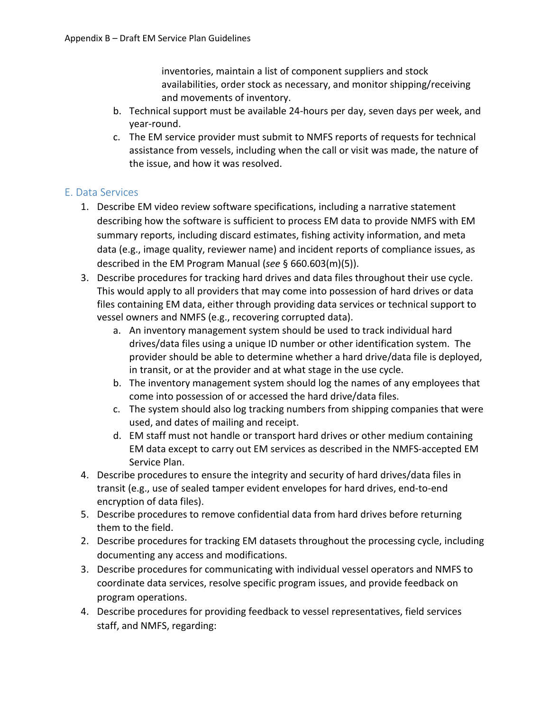inventories, maintain a list of component suppliers and stock availabilities, order stock as necessary, and monitor shipping/receiving and movements of inventory.

- b. Technical support must be available 24-hours per day, seven days per week, and year-round.
- c. The EM service provider must submit to NMFS reports of requests for technical assistance from vessels, including when the call or visit was made, the nature of the issue, and how it was resolved.

## E. Data Services

- 1. Describe EM video review software specifications, including a narrative statement describing how the software is sufficient to process EM data to provide NMFS with EM summary reports, including discard estimates, fishing activity information, and meta data (e.g., image quality, reviewer name) and incident reports of compliance issues, as described in the EM Program Manual (*see* § 660.603(m)(5)).
- 3. Describe procedures for tracking hard drives and data files throughout their use cycle. This would apply to all providers that may come into possession of hard drives or data files containing EM data, either through providing data services or technical support to vessel owners and NMFS (e.g., recovering corrupted data).
	- a. An inventory management system should be used to track individual hard drives/data files using a unique ID number or other identification system. The provider should be able to determine whether a hard drive/data file is deployed, in transit, or at the provider and at what stage in the use cycle.
	- b. The inventory management system should log the names of any employees that come into possession of or accessed the hard drive/data files.
	- c. The system should also log tracking numbers from shipping companies that were used, and dates of mailing and receipt.
	- d. EM staff must not handle or transport hard drives or other medium containing EM data except to carry out EM services as described in the NMFS-accepted EM Service Plan.
- 4. Describe procedures to ensure the integrity and security of hard drives/data files in transit (e.g., use of sealed tamper evident envelopes for hard drives, end-to-end encryption of data files).
- 5. Describe procedures to remove confidential data from hard drives before returning them to the field.
- 2. Describe procedures for tracking EM datasets throughout the processing cycle, including documenting any access and modifications.
- 3. Describe procedures for communicating with individual vessel operators and NMFS to coordinate data services, resolve specific program issues, and provide feedback on program operations.
- 4. Describe procedures for providing feedback to vessel representatives, field services staff, and NMFS, regarding: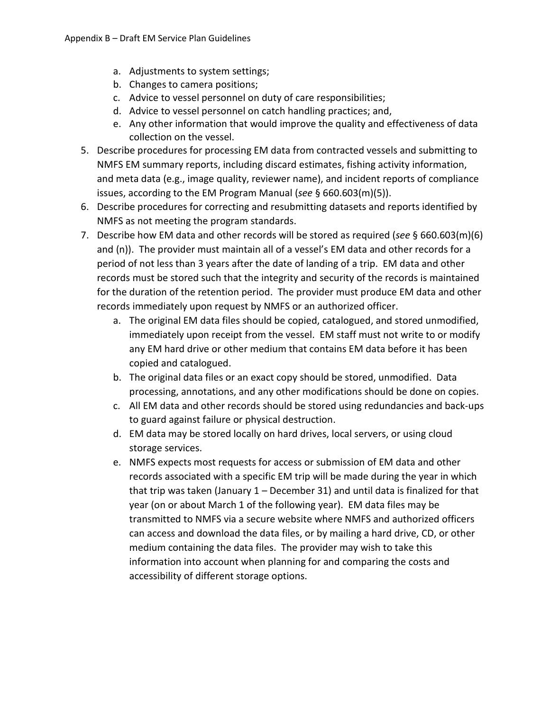- a. Adjustments to system settings;
- b. Changes to camera positions;
- c. Advice to vessel personnel on duty of care responsibilities;
- d. Advice to vessel personnel on catch handling practices; and,
- e. Any other information that would improve the quality and effectiveness of data collection on the vessel.
- 5. Describe procedures for processing EM data from contracted vessels and submitting to NMFS EM summary reports, including discard estimates, fishing activity information, and meta data (e.g., image quality, reviewer name), and incident reports of compliance issues, according to the EM Program Manual (*see* § 660.603(m)(5)).
- 6. Describe procedures for correcting and resubmitting datasets and reports identified by NMFS as not meeting the program standards.
- 7. Describe how EM data and other records will be stored as required (*see* § 660.603(m)(6) and (n)). The provider must maintain all of a vessel's EM data and other records for a period of not less than 3 years after the date of landing of a trip. EM data and other records must be stored such that the integrity and security of the records is maintained for the duration of the retention period. The provider must produce EM data and other records immediately upon request by NMFS or an authorized officer.
	- a. The original EM data files should be copied, catalogued, and stored unmodified, immediately upon receipt from the vessel. EM staff must not write to or modify any EM hard drive or other medium that contains EM data before it has been copied and catalogued.
	- b. The original data files or an exact copy should be stored, unmodified. Data processing, annotations, and any other modifications should be done on copies.
	- c. All EM data and other records should be stored using redundancies and back-ups to guard against failure or physical destruction.
	- d. EM data may be stored locally on hard drives, local servers, or using cloud storage services.
	- e. NMFS expects most requests for access or submission of EM data and other records associated with a specific EM trip will be made during the year in which that trip was taken (January 1 – December 31) and until data is finalized for that year (on or about March 1 of the following year). EM data files may be transmitted to NMFS via a secure website where NMFS and authorized officers can access and download the data files, or by mailing a hard drive, CD, or other medium containing the data files. The provider may wish to take this information into account when planning for and comparing the costs and accessibility of different storage options.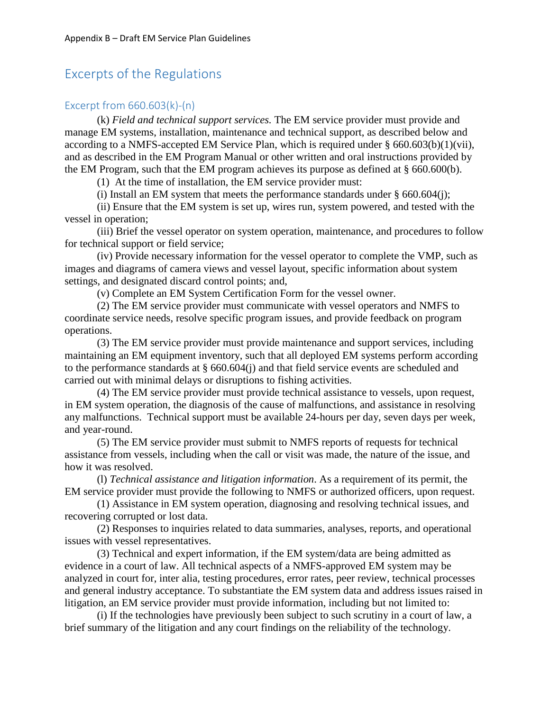## Excerpts of the Regulations

## Excerpt from 660.603(k)-(n)

(k) *Field and technical support services.* The EM service provider must provide and manage EM systems, installation, maintenance and technical support, as described below and according to a NMFS-accepted EM Service Plan, which is required under  $§$  660.603(b)(1)(vii), and as described in the EM Program Manual or other written and oral instructions provided by the EM Program, such that the EM program achieves its purpose as defined at § 660.600(b).

(1) At the time of installation, the EM service provider must:

(i) Install an EM system that meets the performance standards under  $\S$  660.604(j);

(ii) Ensure that the EM system is set up, wires run, system powered, and tested with the vessel in operation;

(iii) Brief the vessel operator on system operation, maintenance, and procedures to follow for technical support or field service;

(iv) Provide necessary information for the vessel operator to complete the VMP, such as images and diagrams of camera views and vessel layout, specific information about system settings, and designated discard control points; and,

(v) Complete an EM System Certification Form for the vessel owner.

(2) The EM service provider must communicate with vessel operators and NMFS to coordinate service needs, resolve specific program issues, and provide feedback on program operations.

(3) The EM service provider must provide maintenance and support services, including maintaining an EM equipment inventory, such that all deployed EM systems perform according to the performance standards at § 660.604(j) and that field service events are scheduled and carried out with minimal delays or disruptions to fishing activities.

(4) The EM service provider must provide technical assistance to vessels, upon request, in EM system operation, the diagnosis of the cause of malfunctions, and assistance in resolving any malfunctions. Technical support must be available 24-hours per day, seven days per week, and year-round.

(5) The EM service provider must submit to NMFS reports of requests for technical assistance from vessels, including when the call or visit was made, the nature of the issue, and how it was resolved.

(l) *Technical assistance and litigation information*. As a requirement of its permit, the EM service provider must provide the following to NMFS or authorized officers, upon request.

(1) Assistance in EM system operation, diagnosing and resolving technical issues, and recovering corrupted or lost data.

(2) Responses to inquiries related to data summaries, analyses, reports, and operational issues with vessel representatives.

(3) Technical and expert information, if the EM system/data are being admitted as evidence in a court of law. All technical aspects of a NMFS-approved EM system may be analyzed in court for, inter alia, testing procedures, error rates, peer review, technical processes and general industry acceptance. To substantiate the EM system data and address issues raised in litigation, an EM service provider must provide information, including but not limited to:

(i) If the technologies have previously been subject to such scrutiny in a court of law, a brief summary of the litigation and any court findings on the reliability of the technology.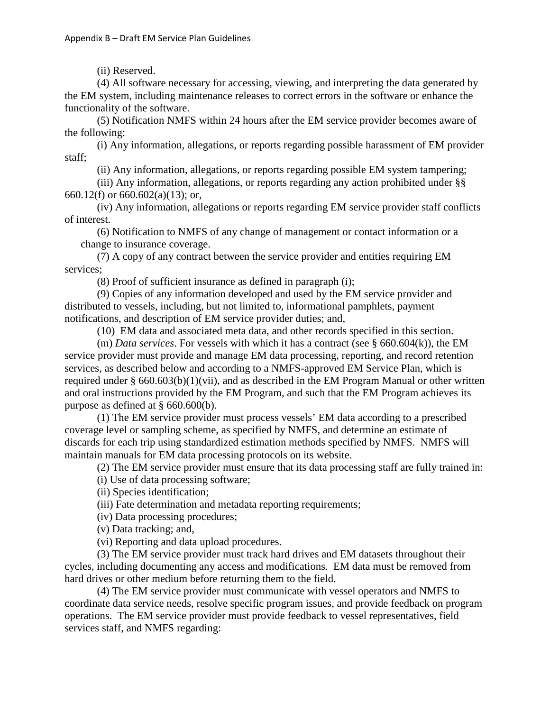(ii) Reserved.

(4) All software necessary for accessing, viewing, and interpreting the data generated by the EM system, including maintenance releases to correct errors in the software or enhance the functionality of the software.

(5) Notification NMFS within 24 hours after the EM service provider becomes aware of the following:

(i) Any information, allegations, or reports regarding possible harassment of EM provider staff;

(ii) Any information, allegations, or reports regarding possible EM system tampering;

(iii) Any information, allegations, or reports regarding any action prohibited under §§ 660.12(f) or 660.602(a)(13); or,

(iv) Any information, allegations or reports regarding EM service provider staff conflicts of interest.

(6) Notification to NMFS of any change of management or contact information or a change to insurance coverage.

(7) A copy of any contract between the service provider and entities requiring EM services;

(8) Proof of sufficient insurance as defined in paragraph (i);

(9) Copies of any information developed and used by the EM service provider and distributed to vessels, including, but not limited to, informational pamphlets, payment notifications, and description of EM service provider duties; and,

(10) EM data and associated meta data, and other records specified in this section.

(m) *Data services*. For vessels with which it has a contract (see § 660.604(k)), the EM service provider must provide and manage EM data processing, reporting, and record retention services, as described below and according to a NMFS-approved EM Service Plan, which is required under § 660.603(b)(1)(vii), and as described in the EM Program Manual or other written and oral instructions provided by the EM Program, and such that the EM Program achieves its purpose as defined at § 660.600(b).

(1) The EM service provider must process vessels' EM data according to a prescribed coverage level or sampling scheme, as specified by NMFS, and determine an estimate of discards for each trip using standardized estimation methods specified by NMFS. NMFS will maintain manuals for EM data processing protocols on its website.

(2) The EM service provider must ensure that its data processing staff are fully trained in:

(i) Use of data processing software;

(ii) Species identification;

(iii) Fate determination and metadata reporting requirements;

(iv) Data processing procedures;

(v) Data tracking; and,

(vi) Reporting and data upload procedures.

(3) The EM service provider must track hard drives and EM datasets throughout their cycles, including documenting any access and modifications. EM data must be removed from hard drives or other medium before returning them to the field.

(4) The EM service provider must communicate with vessel operators and NMFS to coordinate data service needs, resolve specific program issues, and provide feedback on program operations. The EM service provider must provide feedback to vessel representatives, field services staff, and NMFS regarding: